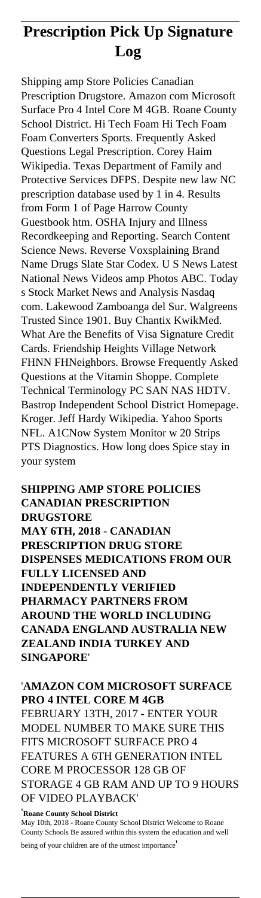# **Prescription Pick Up Signature Log**

Shipping amp Store Policies Canadian Prescription Drugstore. Amazon com Microsoft Surface Pro 4 Intel Core M 4GB. Roane County School District. Hi Tech Foam Hi Tech Foam Foam Converters Sports. Frequently Asked Questions Legal Prescription. Corey Haim Wikipedia. Texas Department of Family and Protective Services DFPS. Despite new law NC prescription database used by 1 in 4. Results from Form 1 of Page Harrow County Guestbook htm. OSHA Injury and Illness Recordkeeping and Reporting. Search Content Science News. Reverse Voxsplaining Brand Name Drugs Slate Star Codex. U S News Latest National News Videos amp Photos ABC. Today s Stock Market News and Analysis Nasdaq com. Lakewood Zamboanga del Sur. Walgreens Trusted Since 1901. Buy Chantix KwikMed. What Are the Benefits of Visa Signature Credit Cards. Friendship Heights Village Network FHNN FHNeighbors. Browse Frequently Asked Questions at the Vitamin Shoppe. Complete Technical Terminology PC SAN NAS HDTV. Bastrop Independent School District Homepage. Kroger. Jeff Hardy Wikipedia. Yahoo Sports NFL. A1CNow System Monitor w 20 Strips PTS Diagnostics. How long does Spice stay in your system

**SHIPPING AMP STORE POLICIES CANADIAN PRESCRIPTION DRUGSTORE MAY 6TH, 2018 - CANADIAN PRESCRIPTION DRUG STORE DISPENSES MEDICATIONS FROM OUR FULLY LICENSED AND INDEPENDENTLY VERIFIED PHARMACY PARTNERS FROM AROUND THE WORLD INCLUDING CANADA ENGLAND AUSTRALIA NEW ZEALAND INDIA TURKEY AND SINGAPORE**'

# '**AMAZON COM MICROSOFT SURFACE PRO 4 INTEL CORE M 4GB**

FEBRUARY 13TH, 2017 - ENTER YOUR MODEL NUMBER TO MAKE SURE THIS FITS MICROSOFT SURFACE PRO 4 FEATURES A 6TH GENERATION INTEL CORE M PROCESSOR 128 GB OF STORAGE 4 GB RAM AND UP TO 9 HOURS OF VIDEO PLAYBACK'

#### '**Roane County School District**

May 10th, 2018 - Roane County School District Welcome to Roane County Schools Be assured within this system the education and well

being of your children are of the utmost importance'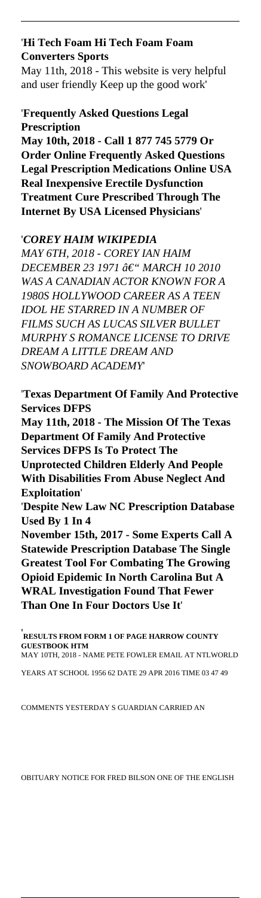## '**Hi Tech Foam Hi Tech Foam Foam Converters Sports**

May 11th, 2018 - This website is very helpful and user friendly Keep up the good work'

#### '**Frequently Asked Questions Legal Prescription**

**May 10th, 2018 - Call 1 877 745 5779 Or Order Online Frequently Asked Questions Legal Prescription Medications Online USA Real Inexpensive Erectile Dysfunction Treatment Cure Prescribed Through The Internet By USA Licensed Physicians**'

#### '*COREY HAIM WIKIPEDIA*

*MAY 6TH, 2018 - COREY IAN HAIM DECEMBER 23 1971 â€* "MARCH 10 2010 *WAS A CANADIAN ACTOR KNOWN FOR A 1980S HOLLYWOOD CAREER AS A TEEN IDOL HE STARRED IN A NUMBER OF FILMS SUCH AS LUCAS SILVER BULLET MURPHY S ROMANCE LICENSE TO DRIVE DREAM A LITTLE DREAM AND SNOWBOARD ACADEMY*'

'**Texas Department Of Family And Protective Services DFPS**

**May 11th, 2018 - The Mission Of The Texas Department Of Family And Protective Services DFPS Is To Protect The**

**Unprotected Children Elderly And People With Disabilities From Abuse Neglect And Exploitation**'

'**Despite New Law NC Prescription Database Used By 1 In 4**

**November 15th, 2017 - Some Experts Call A Statewide Prescription Database The Single Greatest Tool For Combating The Growing Opioid Epidemic In North Carolina But A WRAL Investigation Found That Fewer Than One In Four Doctors Use It**'

'**RESULTS FROM FORM 1 OF PAGE HARROW COUNTY GUESTBOOK HTM** MAY 10TH, 2018 - NAME PETE FOWLER EMAIL AT NTLWORLD

YEARS AT SCHOOL 1956 62 DATE 29 APR 2016 TIME 03 47 49

#### COMMENTS YESTERDAY S GUARDIAN CARRIED AN

#### OBITUARY NOTICE FOR FRED BILSON ONE OF THE ENGLISH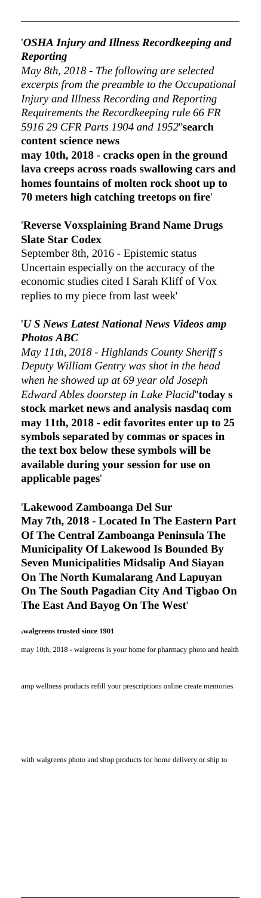# '*OSHA Injury and Illness Recordkeeping and Reporting*

*May 8th, 2018 - The following are selected excerpts from the preamble to the Occupational Injury and Illness Recording and Reporting Requirements the Recordkeeping rule 66 FR 5916 29 CFR Parts 1904 and 1952*''**search content science news**

**may 10th, 2018 - cracks open in the ground lava creeps across roads swallowing cars and homes fountains of molten rock shoot up to 70 meters high catching treetops on fire**'

### '**Reverse Voxsplaining Brand Name Drugs Slate Star Codex**

September 8th, 2016 - Epistemic status Uncertain especially on the accuracy of the economic studies cited I Sarah Kliff of Vox replies to my piece from last week'

# '*U S News Latest National News Videos amp Photos ABC*

*May 11th, 2018 - Highlands County Sheriff s Deputy William Gentry was shot in the head when he showed up at 69 year old Joseph Edward Ables doorstep in Lake Placid*''**today s stock market news and analysis nasdaq com may 11th, 2018 - edit favorites enter up to 25 symbols separated by commas or spaces in the text box below these symbols will be available during your session for use on applicable pages**'

#### '**Lakewood Zamboanga Del Sur**

**May 7th, 2018 - Located In The Eastern Part Of The Central Zamboanga Peninsula The Municipality Of Lakewood Is Bounded By Seven Municipalities Midsalip And Siayan On The North Kumalarang And Lapuyan On The South Pagadian City And Tigbao On The East And Bayog On The West**'

#### '**walgreens trusted since 1901**

amp wellness products refill your prescriptions online create memories

with walgreens photo and shop products for home delivery or ship to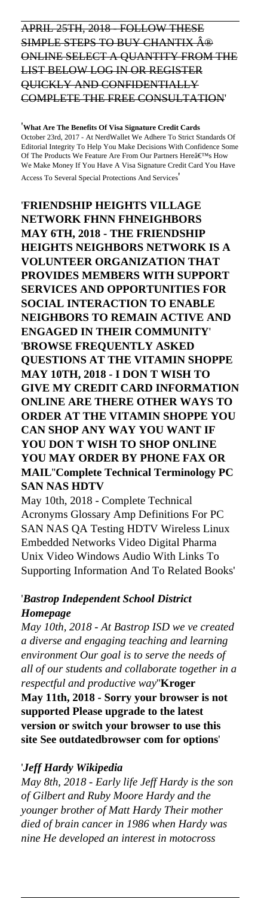# APRIL 25TH, 2018 - FOLLOW THESE SIMPLE STEPS TO BUY CHANTIX A<sup>®</sup> ONLINE SELECT A QUANTITY FROM THE LIST BELOW LOG IN OR REGISTER QUICKLY AND CONFIDENTIALLY COMPLETE THE FREE CONSULTATION'

'**What Are The Benefits Of Visa Signature Credit Cards** October 23rd, 2017 - At NerdWallet We Adhere To Strict Standards Of Editorial Integrity To Help You Make Decisions With Confidence Some Of The Products We Feature Are From Our Partners Here $\hat{a} \in T^M s$  How We Make Money If You Have A Visa Signature Credit Card You Have Access To Several Special Protections And Services'

'**FRIENDSHIP HEIGHTS VILLAGE NETWORK FHNN FHNEIGHBORS MAY 6TH, 2018 - THE FRIENDSHIP HEIGHTS NEIGHBORS NETWORK IS A VOLUNTEER ORGANIZATION THAT PROVIDES MEMBERS WITH SUPPORT SERVICES AND OPPORTUNITIES FOR SOCIAL INTERACTION TO ENABLE NEIGHBORS TO REMAIN ACTIVE AND ENGAGED IN THEIR COMMUNITY**' '**BROWSE FREQUENTLY ASKED QUESTIONS AT THE VITAMIN SHOPPE MAY 10TH, 2018 - I DON T WISH TO GIVE MY CREDIT CARD INFORMATION ONLINE ARE THERE OTHER WAYS TO ORDER AT THE VITAMIN SHOPPE YOU CAN SHOP ANY WAY YOU WANT IF YOU DON T WISH TO SHOP ONLINE YOU MAY ORDER BY PHONE FAX OR MAIL**''**Complete Technical Terminology PC SAN NAS HDTV**

May 10th, 2018 - Complete Technical Acronyms Glossary Amp Definitions For PC SAN NAS QA Testing HDTV Wireless Linux Embedded Networks Video Digital Pharma Unix Video Windows Audio With Links To Supporting Information And To Related Books'

# '*Bastrop Independent School District Homepage*

*May 10th, 2018 - At Bastrop ISD we ve created a diverse and engaging teaching and learning environment Our goal is to serve the needs of all of our students and collaborate together in a respectful and productive way*''**Kroger May 11th, 2018 - Sorry your browser is not supported Please upgrade to the latest version or switch your browser to use this site See outdatedbrowser com for options**'

#### '*Jeff Hardy Wikipedia*

*May 8th, 2018 - Early life Jeff Hardy is the son of Gilbert and Ruby Moore Hardy and the younger brother of Matt Hardy Their mother died of brain cancer in 1986 when Hardy was nine He developed an interest in motocross*